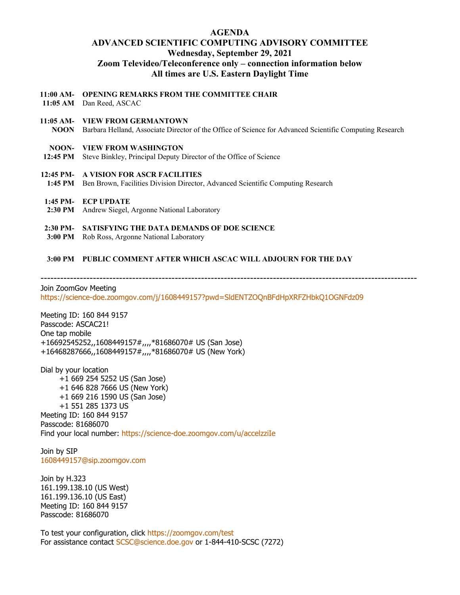# **AGENDA ADVANCED SCIENTIFIC COMPUTING ADVISORY COMMITTEE Wednesday, September 29, 2021 Zoom Televideo/Teleconference only – connection information below All times are U.S. Eastern Daylight Time**

**11:00 AM-OPENING REMARKS FROM THE COMMITTEE CHAIR**

- **11:05 AM** Dan Reed, ASCAC
- **11:05 AM-VIEW FROM GERMANTOWN NOON** Barbara Helland, Associate Director of the Office of Science for Advanced Scientific Computing Research

# **NOON-VIEW FROM WASHINGTON**

- **12:45 PM** Steve Binkley, Principal Deputy Director of the Office of Science
- **12:45 PM-A VISION FOR ASCR FACILITIES**
- **1:45 PM** Ben Brown, Facilities Division Director, Advanced Scientific Computing Research
- **1:45 PM-ECP UPDATE**
- **2:30 PM** Andrew Siegel, Argonne National Laboratory

## **2:30 PM-SATISFYING THE DATA DEMANDS OF DOE SCIENCE**

**3:00 PM** Rob Ross, Argonne National Laboratory

# **3:00 PM PUBLIC COMMENT AFTER WHICH ASCAC WILL ADJOURN FOR THE DAY**

-------------------------------------------------------------------------------------------------------------------

Join ZoomGov Meeting <https://science-doe.zoomgov.com/j/1608449157?pwd=SldENTZOQnBFdHpXRFZHbkQ1OGNFdz09>

Meeting ID: 160 844 9157 Passcode: ASCAC21! One tap mobile +16692545252,,1608449157#,,,,\*81686070# US (San Jose) +16468287666,,1608449157#,,,,\*81686070# US (New York)

Dial by your location +1 669 254 5252 US (San Jose) +1 646 828 7666 US (New York) +1 669 216 1590 US (San Jose) +1 551 285 1373 US Meeting ID: 160 844 9157 Passcode: 81686070 Find your local number:<https://science-doe.zoomgov.com/u/accelzziIe>

Join by SIP [1608449157@sip.zoomgov.com](mailto:1608449157@sip.zoomgov.com)

Join by H.323 161.199.138.10 (US West) 161.199.136.10 (US East) Meeting ID: 160 844 9157 Passcode: 81686070

To test your configuration, click<https://zoomgov.com/test> For assistance contact [SCSC@science.doe.gov](mailto:SCSC@science.doe.gov) or 1-844-410-SCSC (7272)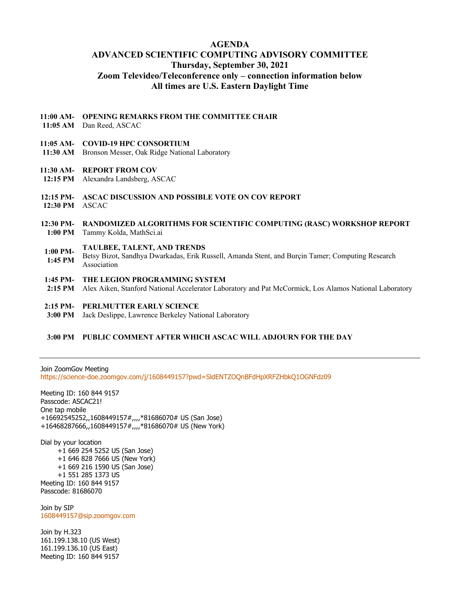## **AGENDA**

# **ADVANCED SCIENTIFIC COMPUTING ADVISORY COMMITTEE Thursday, September 30, 2021 Zoom Televideo/Teleconference only – connection information below All times are U.S. Eastern Daylight Time**

#### **11:00 AM-OPENING REMARKS FROM THE COMMITTEE CHAIR**

**11:05 AM** Dan Reed, ASCAC

## **11:05 AM-COVID-19 HPC CONSORTIUM**

**11:30 AM** Bronson Messer, Oak Ridge National Laboratory

### **11:30 AM-REPORT FROM COV**

- **12:15 PM** Alexandra Landsberg, ASCAC
- **12:15 PM-ASCAC DISCUSSION AND POSSIBLE VOTE ON COV REPORT**
- **12:30 PM** ASCAC

## **12:30 PM-RANDOMIZED ALGORITHMS FOR SCIENTIFIC COMPUTING (RASC) WORKSHOP REPORT 1:00 PM** Tammy Kolda, MathSci.ai

- **TAULBEE, TALENT, AND TRENDS**
- **1:00 PM-1:45 PM** Betsy Bizot, Sandhya Dwarkadas, Erik Russell, Amanda Stent, and Burçin Tamer; Computing Research Association
- **1:45 PM-THE LEGION PROGRAMMING SYSTEM**
- **2:15 PM** Alex Aiken, Stanford National Accelerator Laboratory and Pat McCormick, Los Alamos National Laboratory
- **2:15 PM-PERLMUTTER EARLY SCIENCE**
- **3:00 PM** Jack Deslippe, Lawrence Berkeley National Laboratory

### **3:00 PM PUBLIC COMMENT AFTER WHICH ASCAC WILL ADJOURN FOR THE DAY**

Join ZoomGov Meeting <https://science-doe.zoomgov.com/j/1608449157?pwd=SldENTZOQnBFdHpXRFZHbkQ1OGNFdz09>

Meeting ID: 160 844 9157 Passcode: ASCAC21! One tap mobile +16692545252,,1608449157#,,,,\*81686070# US (San Jose) +16468287666,,1608449157#,,,,\*81686070# US (New York)

Dial by your location +1 669 254 5252 US (San Jose) +1 646 828 7666 US (New York) +1 669 216 1590 US (San Jose) +1 551 285 1373 US Meeting ID: 160 844 9157 Passcode: 81686070

Join by SIP [1608449157@sip.zoomgov.com](mailto:1608449157@sip.zoomgov.com)

Join by H.323 161.199.138.10 (US West) 161.199.136.10 (US East) Meeting ID: 160 844 9157